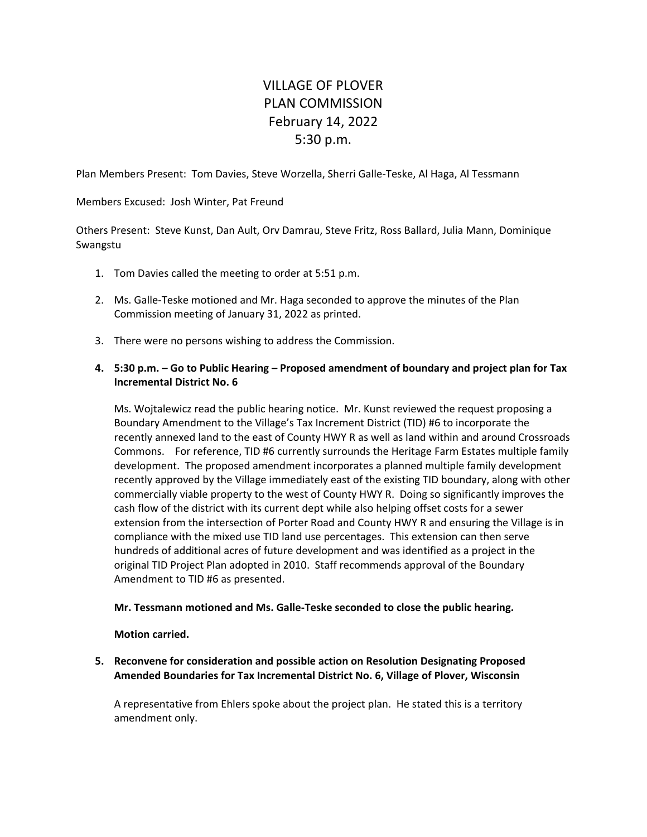## VILLAGE OF PLOVER PLAN COMMISSION February 14, 2022 5:30 p.m.

Plan Members Present: Tom Davies, Steve Worzella, Sherri Galle‐Teske, Al Haga, Al Tessmann

Members Excused: Josh Winter, Pat Freund

Others Present: Steve Kunst, Dan Ault, Orv Damrau, Steve Fritz, Ross Ballard, Julia Mann, Dominique Swangstu

- 1. Tom Davies called the meeting to order at 5:51 p.m.
- 2. Ms. Galle‐Teske motioned and Mr. Haga seconded to approve the minutes of the Plan Commission meeting of January 31, 2022 as printed.
- 3. There were no persons wishing to address the Commission.

## **4. 5:30 p.m. – Go to Public Hearing – Proposed amendment of boundary and project plan for Tax Incremental District No. 6**

Ms. Wojtalewicz read the public hearing notice. Mr. Kunst reviewed the request proposing a Boundary Amendment to the Village's Tax Increment District (TID) #6 to incorporate the recently annexed land to the east of County HWY R as well as land within and around Crossroads Commons. For reference, TID #6 currently surrounds the Heritage Farm Estates multiple family development. The proposed amendment incorporates a planned multiple family development recently approved by the Village immediately east of the existing TID boundary, along with other commercially viable property to the west of County HWY R. Doing so significantly improves the cash flow of the district with its current dept while also helping offset costs for a sewer extension from the intersection of Porter Road and County HWY R and ensuring the Village is in compliance with the mixed use TID land use percentages. This extension can then serve hundreds of additional acres of future development and was identified as a project in the original TID Project Plan adopted in 2010. Staff recommends approval of the Boundary Amendment to TID #6 as presented.

## **Mr. Tessmann motioned and Ms. Galle‐Teske seconded to close the public hearing.**

**Motion carried.**

**5. Reconvene for consideration and possible action on Resolution Designating Proposed Amended Boundaries for Tax Incremental District No. 6, Village of Plover, Wisconsin** 

A representative from Ehlers spoke about the project plan. He stated this is a territory amendment only.